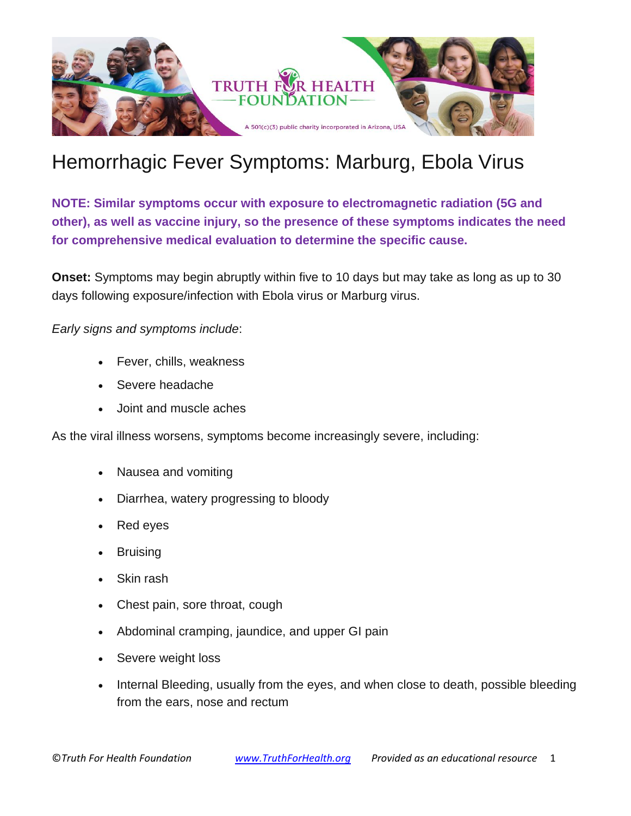

# Hemorrhagic Fever Symptoms: Marburg, Ebola Virus

**NOTE: Similar symptoms occur with exposure to electromagnetic radiation (5G and other), as well as vaccine injury, so the presence of these symptoms indicates the need for comprehensive medical evaluation to determine the specific cause.**

**Onset:** Symptoms may begin abruptly within five to 10 days but may take as long as up to 30 days following exposure/infection with Ebola virus or Marburg virus.

*Early signs and symptoms include*:

- Fever, chills, weakness
- Severe headache
- Joint and muscle aches

As the viral illness worsens, symptoms become increasingly severe, including:

- Nausea and vomiting
- Diarrhea, watery progressing to bloody
- Red eyes
- **Bruising**
- Skin rash
- Chest pain, sore throat, cough
- Abdominal cramping, jaundice, and upper GI pain
- Severe weight loss
- Internal Bleeding, usually from the eyes, and when close to death, possible bleeding from the ears, nose and rectum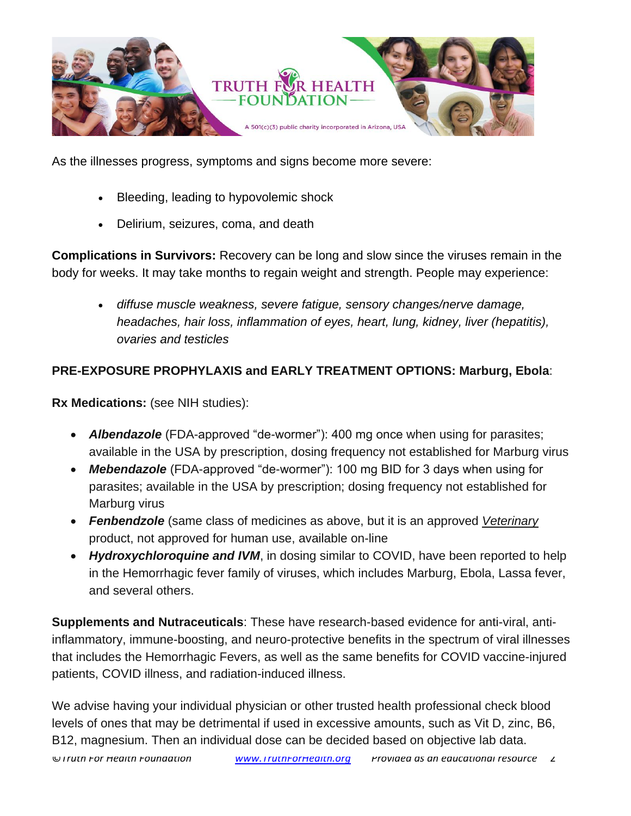

As the illnesses progress, symptoms and signs become more severe:

- Bleeding, leading to hypovolemic shock
- Delirium, seizures, coma, and death

**Complications in Survivors:** Recovery can be long and slow since the viruses remain in the body for weeks. It may take months to regain weight and strength. People may experience:

• *diffuse muscle weakness, severe fatigue, sensory changes/nerve damage, headaches, hair loss, inflammation of eyes, heart, lung, kidney, liver (hepatitis), ovaries and testicles*

#### **PRE-EXPOSURE PROPHYLAXIS and EARLY TREATMENT OPTIONS: Marburg, Ebola**:

**Rx Medications:** (see NIH studies):

- *Albendazole* (FDA-approved "de-wormer"): 400 mg once when using for parasites; available in the USA by prescription, dosing frequency not established for Marburg virus
- *Mebendazole* (FDA-approved "de-wormer"): 100 mg BID for 3 days when using for parasites; available in the USA by prescription; dosing frequency not established for Marburg virus
- *Fenbendzole* (same class of medicines as above, but it is an approved *Veterinary* product, not approved for human use, available on-line
- *Hydroxychloroquine and IVM*, in dosing similar to COVID, have been reported to help in the Hemorrhagic fever family of viruses, which includes Marburg, Ebola, Lassa fever, and several others.

**Supplements and Nutraceuticals**: These have research-based evidence for anti-viral, antiinflammatory, immune-boosting, and neuro-protective benefits in the spectrum of viral illnesses that includes the Hemorrhagic Fevers, as well as the same benefits for COVID vaccine-injured patients, COVID illness, and radiation-induced illness.

We advise having your individual physician or other trusted health professional check blood levels of ones that may be detrimental if used in excessive amounts, such as Vit D, zinc, B6, B12, magnesium. Then an individual dose can be decided based on objective lab data.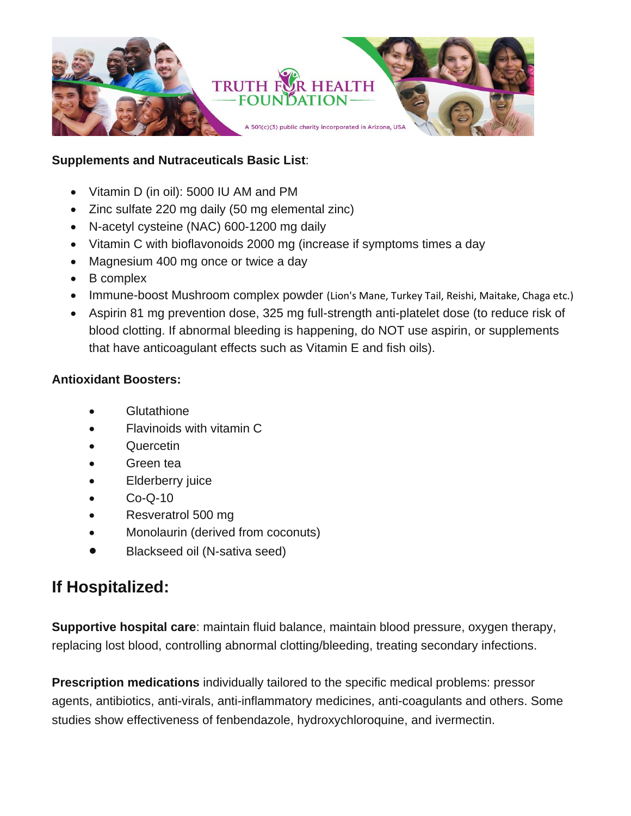

#### **Supplements and Nutraceuticals Basic List**:

- Vitamin D (in oil): 5000 IU AM and PM
- Zinc sulfate 220 mg daily (50 mg elemental zinc)
- N-acetyl cysteine (NAC) 600-1200 mg daily
- Vitamin C with bioflavonoids 2000 mg (increase if symptoms times a day
- Magnesium 400 mg once or twice a day
- B complex
- Immune-boost Mushroom complex powder (Lion's Mane, Turkey Tail, Reishi, Maitake, Chaga etc.)
- Aspirin 81 mg prevention dose, 325 mg full-strength anti-platelet dose (to reduce risk of blood clotting. If abnormal bleeding is happening, do NOT use aspirin, or supplements that have anticoagulant effects such as Vitamin E and fish oils).

#### **Antioxidant Boosters:**

- **Glutathione**
- Flavinoids with vitamin C
- Quercetin
- Green tea
- **Elderberry juice**
- $Co-O-10$
- Resveratrol 500 mg
- Monolaurin (derived from coconuts)
- Blackseed oil (N-sativa seed)

### **If Hospitalized:**

**Supportive hospital care**: maintain fluid balance, maintain blood pressure, oxygen therapy, replacing lost blood, controlling abnormal clotting/bleeding, treating secondary infections.

**Prescription medications** individually tailored to the specific medical problems: pressor agents, antibiotics, anti-virals, anti-inflammatory medicines, anti-coagulants and others. Some studies show effectiveness of fenbendazole, hydroxychloroquine, and ivermectin.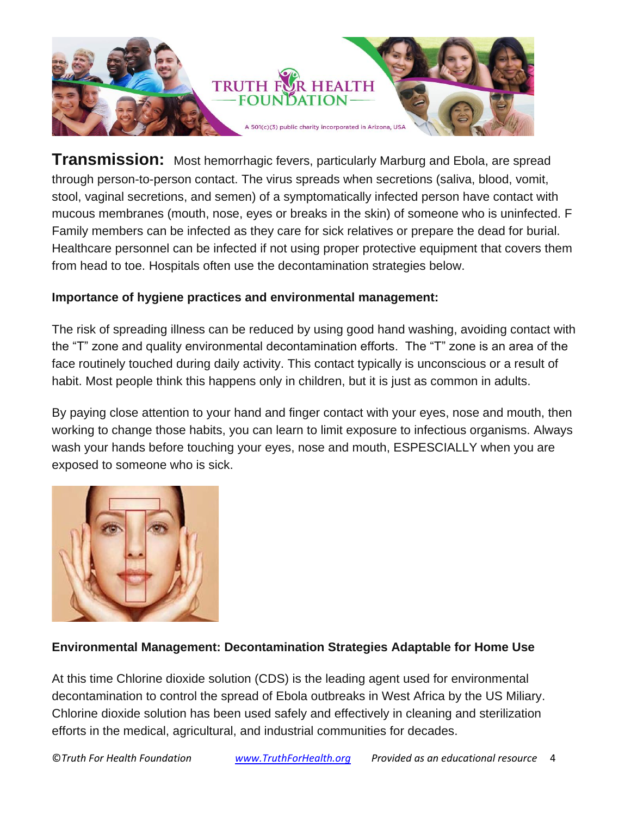

**Transmission:** Most hemorrhagic fevers, particularly Marburg and Ebola, are spread through person-to-person contact. The virus spreads when secretions (saliva, blood, vomit, stool, vaginal secretions, and semen) of a symptomatically infected person have contact with mucous membranes (mouth, nose, eyes or breaks in the skin) of someone who is uninfected. F Family members can be infected as they care for sick relatives or prepare the dead for burial. Healthcare personnel can be infected if not using proper protective equipment that covers them from head to toe. Hospitals often use the decontamination strategies below.

#### **Importance of hygiene practices and environmental management:**

The risk of spreading illness can be reduced by using good hand washing, avoiding contact with the "T" zone and quality environmental decontamination efforts. The "T" zone is an area of the face routinely touched during daily activity. This contact typically is unconscious or a result of habit. Most people think this happens only in children, but it is just as common in adults.

By paying close attention to your hand and finger contact with your eyes, nose and mouth, then working to change those habits, you can learn to limit exposure to infectious organisms. Always wash your hands before touching your eyes, nose and mouth, ESPESCIALLY when you are exposed to someone who is sick.



#### **Environmental Management: Decontamination Strategies Adaptable for Home Use**

At this time Chlorine dioxide solution (CDS) is the leading agent used for environmental decontamination to control the spread of Ebola outbreaks in West Africa by the US Miliary. Chlorine dioxide solution has been used safely and effectively in cleaning and sterilization efforts in the medical, agricultural, and industrial communities for decades.